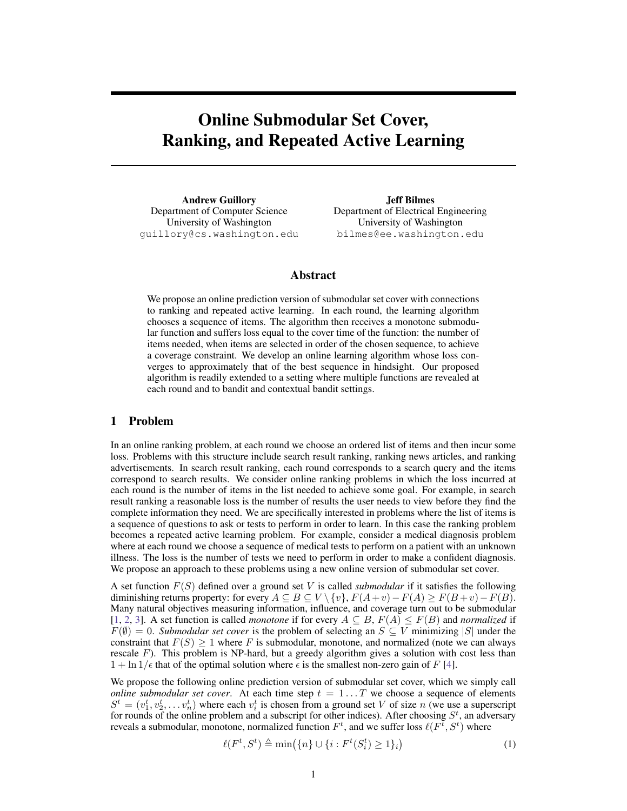# Online Submodular Set Cover, Ranking, and Repeated Active Learning

Andrew Guillory Department of Computer Science University of Washington guillory@cs.washington.edu

Jeff Bilmes Department of Electrical Engineering University of Washington bilmes@ee.washington.edu

#### Abstract

We propose an online prediction version of submodular set cover with connections to ranking and repeated active learning. In each round, the learning algorithm chooses a sequence of items. The algorithm then receives a monotone submodular function and suffers loss equal to the cover time of the function: the number of items needed, when items are selected in order of the chosen sequence, to achieve a coverage constraint. We develop an online learning algorithm whose loss converges to approximately that of the best sequence in hindsight. Our proposed algorithm is readily extended to a setting where multiple functions are revealed at each round and to bandit and contextual bandit settings.

### 1 Problem

In an online ranking problem, at each round we choose an ordered list of items and then incur some loss. Problems with this structure include search result ranking, ranking news articles, and ranking advertisements. In search result ranking, each round corresponds to a search query and the items correspond to search results. We consider online ranking problems in which the loss incurred at each round is the number of items in the list needed to achieve some goal. For example, in search result ranking a reasonable loss is the number of results the user needs to view before they find the complete information they need. We are specifically interested in problems where the list of items is a sequence of questions to ask or tests to perform in order to learn. In this case the ranking problem becomes a repeated active learning problem. For example, consider a medical diagnosis problem where at each round we choose a sequence of medical tests to perform on a patient with an unknown illness. The loss is the number of tests we need to perform in order to make a confident diagnosis. We propose an approach to these problems using a new online version of submodular set cover.

A set function F(S) defined over a ground set V is called *submodular* if it satisfies the following diminishing returns property: for every  $A \subseteq B \subseteq V \setminus \{v\}$ ,  $F(A+v)-F(A) \geq F(B+v)-F(B)$ . Many natural objectives measuring information, influence, and coverage turn out to be submodular [\[1,](#page-8-0) [2,](#page-8-1) [3\]](#page-8-2). A set function is called *monotone* if for every  $A \subseteq B$ ,  $F(A) \leq F(B)$  and *normalized* if  $F(\emptyset) = 0$ . *Submodular set cover* is the problem of selecting an  $S \subseteq V$  minimizing  $|S|$  under the constraint that  $F(S) \ge 1$  where F is submodular, monotone, and normalized (note we can always rescale  $F$ ). This problem is NP-hard, but a greedy algorithm gives a solution with cost less than  $1 + \ln 1/\epsilon$  that of the optimal solution where  $\epsilon$  is the smallest non-zero gain of F [\[4\]](#page-8-3).

We propose the following online prediction version of submodular set cover, which we simply call *online submodular set cover.* At each time step  $t = 1...T$  we choose a sequence of elements  $S^t = (v_1^t, v_2^t, \dots, v_n^t)$  where each  $v_i^t$  is chosen from a ground set V of size n (we use a superscript for rounds of the online problem and a subscript for other indices). After choosing  $S^t$ , an adversary reveals a submodular, monotone, normalized function  $F<sup>t</sup>$ , and we suffer loss  $\ell(F^{\overline{t}}, S^t)$  where

$$
\ell(F^t, S^t) \triangleq \min(\{n\} \cup \{i : F^t(S_i^t) \ge 1\}_i) \tag{1}
$$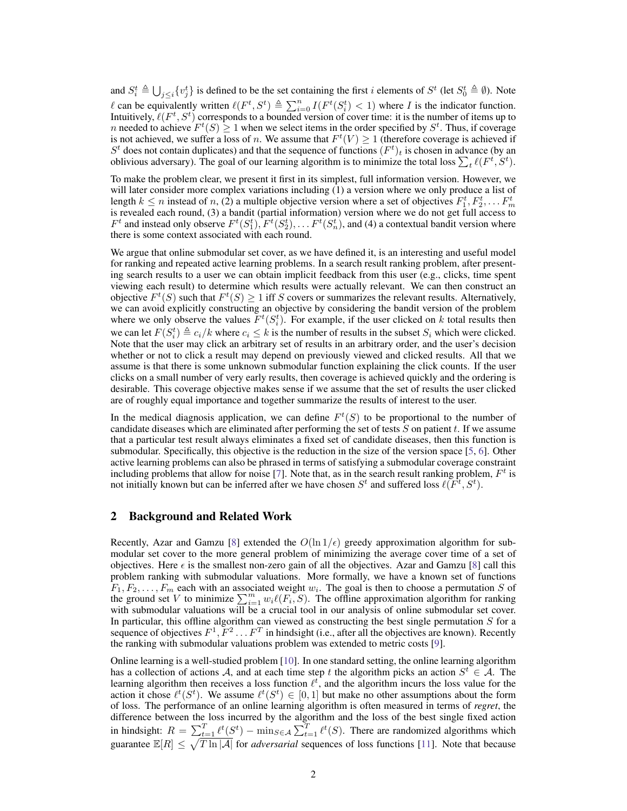and  $S_i^t \triangleq \bigcup_{j \leq i} \{v_j^t\}$  is defined to be the set containing the first i elements of  $S^t$  (let  $S_0^t \triangleq \emptyset$ ). Note  $\ell$  can be equivalently written  $\ell(F^t, S^t) \triangleq \sum_{i=0}^n I(F^t(S_i^t) < 1)$  where I is the indicator function. Intuitively,  $\ell(F^t, S^t)$  corresponds to a bounded version of cover time: it is the number of items up to n needed to achieve  $F^t(S) \geq 1$  when we select items in the order specified by  $S^t$ . Thus, if coverage is not achieved, we suffer a loss of n. We assume that  $F^t(V) \geq 1$  (therefore coverage is achieved if  $S<sup>t</sup>$  does not contain duplicates) and that the sequence of functions  $(F<sup>t</sup>)<sub>t</sub>$  is chosen in advance (by an oblivious adversary). The goal of our learning algorithm is to minimize the total loss  $\sum_t \ell(F^t, S^t)$ .

To make the problem clear, we present it first in its simplest, full information version. However, we will later consider more complex variations including (1) a version where we only produce a list of length  $k \le n$  instead of n, (2) a multiple objective version where a set of objectives  $F_1^t, F_2^t, \ldots F_m^t$ is revealed each round, (3) a bandit (partial information) version where we do not get full access to  $F^t$  and instead only observe  $F^t(S_1^t), F^t(S_2^t), \ldots F^t(S_n^t)$ , and (4) a contextual bandit version where there is some context associated with each round.

We argue that online submodular set cover, as we have defined it, is an interesting and useful model for ranking and repeated active learning problems. In a search result ranking problem, after presenting search results to a user we can obtain implicit feedback from this user (e.g., clicks, time spent viewing each result) to determine which results were actually relevant. We can then construct an objective  $F^t(S)$  such that  $F^t(S) \geq 1$  iff S covers or summarizes the relevant results. Alternatively, we can avoid explicitly constructing an objective by considering the bandit version of the problem where we only observe the values  $F^t(S_i^t)$ . For example, if the user clicked on k total results then we can let  $F(S_i^t) \triangleq c_i/k$  where  $c_i \leq k$  is the number of results in the subset  $S_i$  which were clicked. Note that the user may click an arbitrary set of results in an arbitrary order, and the user's decision whether or not to click a result may depend on previously viewed and clicked results. All that we assume is that there is some unknown submodular function explaining the click counts. If the user clicks on a small number of very early results, then coverage is achieved quickly and the ordering is desirable. This coverage objective makes sense if we assume that the set of results the user clicked are of roughly equal importance and together summarize the results of interest to the user.

In the medical diagnosis application, we can define  $F<sup>t</sup>(S)$  to be proportional to the number of candidate diseases which are eliminated after performing the set of tests  $S$  on patient  $t$ . If we assume that a particular test result always eliminates a fixed set of candidate diseases, then this function is submodular. Specifically, this objective is the reduction in the size of the version space [\[5,](#page-8-4) [6\]](#page-8-5). Other active learning problems can also be phrased in terms of satisfying a submodular coverage constraint including problems that allow for noise [\[7\]](#page-8-6). Note that, as in the search result ranking problem,  $F<sup>t</sup>$  is not initially known but can be inferred after we have chosen  $S^t$  and suffered loss  $\ell(F^t, S^t)$ .

## 2 Background and Related Work

Recently, Azar and Gamzu [\[8\]](#page-8-7) extended the  $O(\ln 1/\epsilon)$  greedy approximation algorithm for submodular set cover to the more general problem of minimizing the average cover time of a set of objectives. Here  $\epsilon$  is the smallest non-zero gain of all the objectives. Azar and Gamzu [\[8\]](#page-8-7) call this problem ranking with submodular valuations. More formally, we have a known set of functions  $F_1, F_2, \ldots, F_m$  each with an associated weight  $w_i$ . The goal is then to choose a permutation S of the ground set V to minimize  $\sum_{i=1}^m w_i \ell(F_i, S)$ . The offline approximation algorithm for ranking with submodular valuations will be a crucial tool in our analysis of online submodular set cover. In particular, this offline algorithm can viewed as constructing the best single permutation  $S$  for a sequence of objectives  $F^1, \overline{F^2} \dots F^T$  in hindsight (i.e., after all the objectives are known). Recently the ranking with submodular valuations problem was extended to metric costs [\[9\]](#page-8-8).

Online learning is a well-studied problem [\[10\]](#page-8-9). In one standard setting, the online learning algorithm has a collection of actions A, and at each time step t the algorithm picks an action  $S^t \in A$ . The learning algorithm then receives a loss function  $\ell^t$ , and the algorithm incurs the loss value for the action it chose  $\ell^t(S^t)$ . We assume  $\ell^t(S^t) \in [0,1]$  but make no other assumptions about the form of loss. The performance of an online learning algorithm is often measured in terms of *regret*, the difference between the loss incurred by the algorithm and the loss of the best single fixed action in hindsight:  $R = \sum_{t=1}^{T} \ell^t(S^t) - \min_{S \in A} \sum_{t=1}^{T} \ell^t(S)$ . There are randomized algorithms which guarantee  $\mathbb{E}[R] \leq \sqrt{T \ln |\mathcal{A}|}$  for *adversarial* sequences of loss functions [\[11\]](#page-8-10). Note that because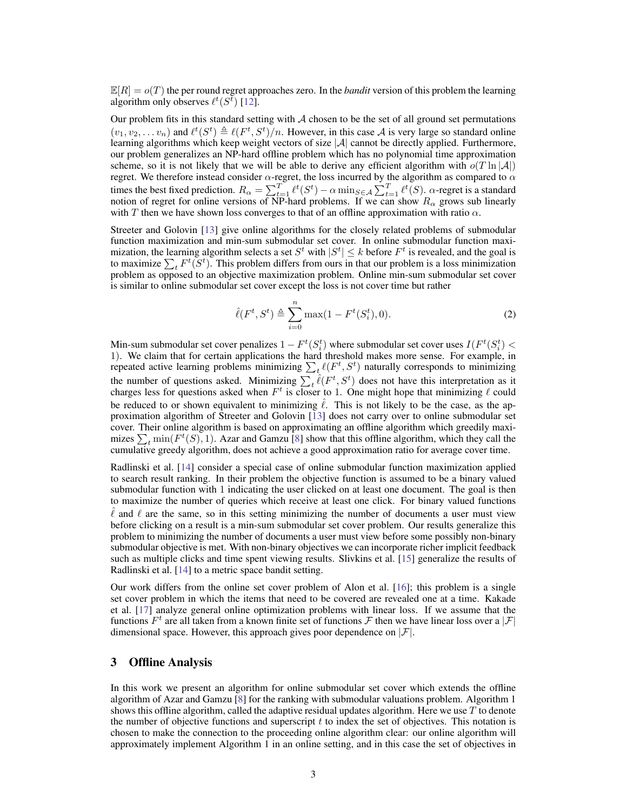$\mathbb{E}[R] = o(T)$  the per round regret approaches zero. In the *bandit* version of this problem the learning algorithm only observes  $\ell^t(S^{\bar{t}})$  [\[12\]](#page-8-11).

Our problem fits in this standard setting with  $A$  chosen to be the set of all ground set permutations  $(v_1, v_2, \ldots v_n)$  and  $\ell^t(S^t) \triangleq \ell(F^t, S^t)/n$ . However, in this case A is very large so standard online learning algorithms which keep weight vectors of size  $|\mathcal{A}|$  cannot be directly applied. Furthermore, our problem generalizes an NP-hard offline problem which has no polynomial time approximation scheme, so it is not likely that we will be able to derive any efficient algorithm with  $o(T \ln |\mathcal{A}|)$ regret. We therefore instead consider  $\alpha$ -regret, the loss incurred by the algorithm as compared to  $\alpha$ times the best fixed prediction.  $R_{\alpha} = \sum_{t=1}^{T} \ell^t(S^t) - \alpha \min_{S \in \mathcal{A}} \sum_{t=1}^{T} \ell^t(S)$ .  $\alpha$ -regret is a standard notion of regret for online versions of NP-hard problems. If we can show  $R_{\alpha}$  grows sub linearly with T then we have shown loss converges to that of an offline approximation with ratio  $\alpha$ .

Streeter and Golovin [\[13\]](#page-8-12) give online algorithms for the closely related problems of submodular function maximization and min-sum submodular set cover. In online submodular function maximization, the learning algorithm selects a set  $S^t$  with  $|S^t| \leq k$  before  $F^t$  is revealed, and the goal is to maximize  $\sum_t F^t(S^t)$ . This problem differs from ours in that our problem is a loss minimization problem as opposed to an objective maximization problem. Online min-sum submodular set cover is similar to online submodular set cover except the loss is not cover time but rather

<span id="page-2-0"></span>
$$
\hat{\ell}(F^t, S^t) \triangleq \sum_{i=0}^n \max(1 - F^t(S_i^t), 0). \tag{2}
$$

Min-sum submodular set cover penalizes  $1 - F^t(S_i^t)$  where submodular set cover uses  $I(F^t(S_i^t) <$ 1). We claim that for certain applications the hard threshold makes more sense. For example, in repeated active learning problems minimizing  $\sum_t \ell(F^t, S^t)$  naturally corresponds to minimizing the number of questions asked. Minimizing  $\sum_{t} \hat{\ell}(F^t, S^t)$  does not have this interpretation as it charges less for questions asked when  $F^t$  is closer to 1. One might hope that minimizing  $\ell$  could be reduced to or shown equivalent to minimizing  $\hat{\ell}$ . This is not likely to be the case, as the approximation algorithm of Streeter and Golovin [\[13\]](#page-8-12) does not carry over to online submodular set cover. Their online algorithm is based on approximating an offline algorithm which greedily maximizes  $\sum_t \min(F^t(S), 1)$ . Azar and Gamzu [\[8\]](#page-8-7) show that this offline algorithm, which they call the cumulative greedy algorithm, does not achieve a good approximation ratio for average cover time.

Radlinski et al. [\[14\]](#page-8-13) consider a special case of online submodular function maximization applied to search result ranking. In their problem the objective function is assumed to be a binary valued submodular function with 1 indicating the user clicked on at least one document. The goal is then to maximize the number of queries which receive at least one click. For binary valued functions  $\ell$  and  $\ell$  are the same, so in this setting minimizing the number of documents a user must view before clicking on a result is a min-sum submodular set cover problem. Our results generalize this problem to minimizing the number of documents a user must view before some possibly non-binary submodular objective is met. With non-binary objectives we can incorporate richer implicit feedback such as multiple clicks and time spent viewing results. Slivkins et al. [\[15\]](#page-8-14) generalize the results of Radlinski et al. [\[14\]](#page-8-13) to a metric space bandit setting.

Our work differs from the online set cover problem of Alon et al. [\[16\]](#page-8-15); this problem is a single set cover problem in which the items that need to be covered are revealed one at a time. Kakade et al. [\[17\]](#page-8-16) analyze general online optimization problems with linear loss. If we assume that the functions  $F^t$  are all taken from a known finite set of functions  $\mathcal F$  then we have linear loss over a  $|\mathcal F|$ dimensional space. However, this approach gives poor dependence on  $|\mathcal{F}|$ .

#### 3 Offline Analysis

In this work we present an algorithm for online submodular set cover which extends the offline algorithm of Azar and Gamzu [\[8\]](#page-8-7) for the ranking with submodular valuations problem. Algorithm 1 shows this offline algorithm, called the adaptive residual updates algorithm. Here we use  $T$  to denote the number of objective functions and superscript  $t$  to index the set of objectives. This notation is chosen to make the connection to the proceeding online algorithm clear: our online algorithm will approximately implement Algorithm 1 in an online setting, and in this case the set of objectives in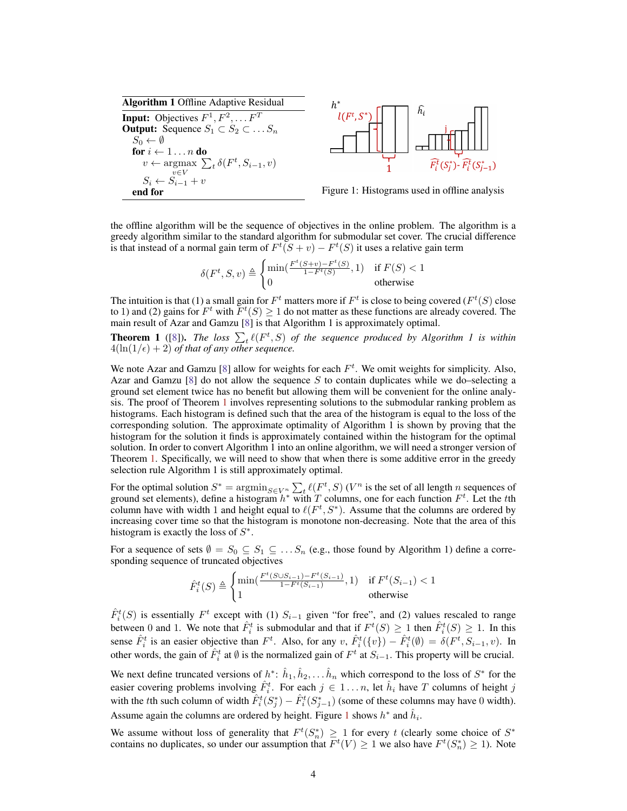Algorithm 1 Offline Adaptive Residual **Input:** Objectives  $F^1, F^2, \dots F^T$ Output: Sequence  $S_1 \subset S_2 \subset \ldots S_n$  $S_0 \leftarrow \emptyset$ for  $i \leftarrow 1 \ldots n$  do  $v \leftarrow \arg\max_{i} \sum_{t} \delta(F^t, S_{i-1}, v)$  $v \in V$  $S_i \leftarrow S_{i-1} + v$ end for Figure 1: Histograms used in offline analysis



<span id="page-3-1"></span>

the offline algorithm will be the sequence of objectives in the online problem. The algorithm is a greedy algorithm similar to the standard algorithm for submodular set cover. The crucial difference is that instead of a normal gain term of  $F^t(S + v) - F^t(S)$  it uses a relative gain term

$$
\delta(F^t, S, v) \triangleq \begin{cases} \min(\frac{F^t(S+v) - F^t(S)}{1 - F^t(S)}, 1) & \text{if } F(S) < 1\\ 0 & \text{otherwise} \end{cases}
$$

The intuition is that (1) a small gain for  $F<sup>t</sup>$  matters more if  $F<sup>t</sup>$  is close to being covered ( $F<sup>t</sup>(S)$  close to 1) and (2) gains for  $F^t$  with  $\overline{F}^t(S) \ge 1$  do not matter as these functions are already covered. The main result of Azar and Gamzu [\[8\]](#page-8-7) is that Algorithm 1 is approximately optimal.

<span id="page-3-0"></span>**Theorem 1** ([\[8\]](#page-8-7)). The loss  $\sum_{t} \ell(F^t, S)$  of the sequence produced by Algorithm 1 is within  $4(\ln(1/\epsilon) + 2)$  *of that of any other sequence.* 

We note Azar and Gamzu [\[8\]](#page-8-7) allow for weights for each  $F<sup>t</sup>$ . We omit weights for simplicity. Also, Azar and Gamzu  $[8]$  do not allow the sequence S to contain duplicates while we do–selecting a ground set element twice has no benefit but allowing them will be convenient for the online analysis. The proof of Theorem [1](#page-3-0) involves representing solutions to the submodular ranking problem as histograms. Each histogram is defined such that the area of the histogram is equal to the loss of the corresponding solution. The approximate optimality of Algorithm 1 is shown by proving that the histogram for the solution it finds is approximately contained within the histogram for the optimal solution. In order to convert Algorithm 1 into an online algorithm, we will need a stronger version of Theorem [1.](#page-3-0) Specifically, we will need to show that when there is some additive error in the greedy selection rule Algorithm 1 is still approximately optimal.

For the optimal solution  $S^* = \operatorname{argmin}_{S \in V^n} \sum_t \ell(F^t, S)$  ( $V^n$  is the set of all length n sequences of ground set elements), define a histogram  $h^*$  with T columns, one for each function  $F^t$ . Let the tth column have with width 1 and height equal to  $\ell(F^t, S^*)$ . Assume that the columns are ordered by increasing cover time so that the histogram is monotone non-decreasing. Note that the area of this histogram is exactly the loss of  $S^*$ .

For a sequence of sets  $\emptyset = S_0 \subseteq S_1 \subseteq \ldots S_n$  (e.g., those found by Algorithm 1) define a corresponding sequence of truncated objectives

$$
\hat{F}_{i}^{t}(S) \triangleq \begin{cases} \min(\frac{F^{t}(S \cup S_{i-1}) - F^{t}(S_{i-1})}{1 - F^{t}(S_{i-1})}, 1) & \text{if } F^{t}(S_{i-1}) < 1\\ 1 & \text{otherwise} \end{cases}
$$

 $\hat{F}_i^t(S)$  is essentially  $F^t$  except with (1)  $S_{i-1}$  given "for free", and (2) values rescaled to range between 0 and 1. We note that  $\hat{F}_i^t$  is submodular and that if  $F^t(S) \ge 1$  then  $\hat{F}_i^t(S) \ge 1$ . In this sense  $\hat{F}_i^t$  is an easier objective than  $F^t$ . Also, for any  $v$ ,  $\hat{F}_i^t({v}) - \hat{F}_i^t(\emptyset) = \delta(F^t, S_{i-1}, v)$ . In other words, the gain of  $\hat{F}_i^t$  at  $\emptyset$  is the normalized gain of  $F^t$  at  $S_{i-1}$ . This property will be crucial.

We next define truncated versions of  $h^*$ :  $\hat{h}_1, \hat{h}_2, \dots, \hat{h}_n$  which correspond to the loss of  $S^*$  for the easier covering problems involving  $\hat{F}_i^t$ . For each  $j \in 1...n$ , let  $\hat{h}_i$  have T columns of height j with the *t*th such column of width  $\hat{F}_i^t(S_j^*) - \hat{F}_i^t(S_{j-1}^*)$  (some of these columns may have 0 width). Assume again the columns are ordered by height. Figure [1](#page-3-1) shows  $h^*$  and  $\hat{h}_i$ .

We assume without loss of generality that  $F^t(S_n^*) \geq 1$  for every t (clearly some choice of  $S^*$ contains no duplicates, so under our assumption that  $F^t(V) \ge 1$  we also have  $F^t(S_n^*) \ge 1$ ). Note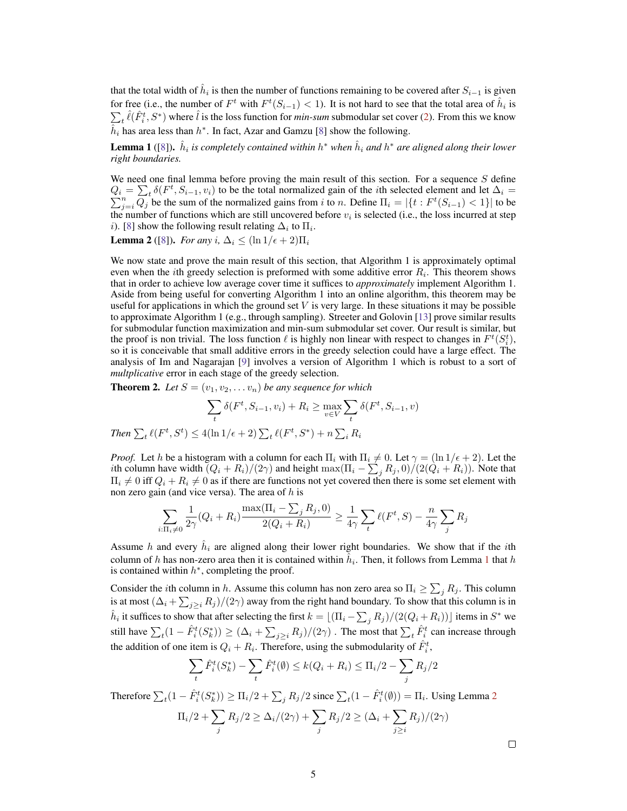that the total width of  $\hat{h}_i$  is then the number of functions remaining to be covered after  $S_{i-1}$  is given for free (i.e., the number of  $F^t$  with  $F^t(S_{i-1}) < 1$ ). It is not hard to see that the total area of  $\hat{h}_i$  is  $\sum_t \hat{\ell}(\hat{F}_i^t, S^*)$  where  $\hat{l}$  is the loss function for *min-sum* submodular set cover [\(2\)](#page-2-0). From this we know  $\hat{h}_i$  has area less than  $h^*$ . In fact, Azar and Gamzu [\[8\]](#page-8-7) show the following.

<span id="page-4-0"></span>**Lemma 1** ([\[8\]](#page-8-7)).  $\hat{h}_i$  is completely contained within  $h^*$  when  $\hat{h}_i$  and  $h^*$  are aligned along their lower *right boundaries.*

We need one final lemma before proving the main result of this section. For a sequence  $S$  define  $Q_i = \sum_t \delta(F^t)$ P  $\sum_{j=i}^n \delta(F^t, S_{i-1}, v_i)$  to be the total normalized gain of the *i*th selected element and let  $\Delta_i = \sum_{j=i}^n Q_j$  be the sum of the normalized gains from *i* to *n*. Define  $\Pi_i = |\{t : F^t(S_{i-1}) < 1\}|$  to be the number of functions which are still uncovered before  $v_i$  is selected (i.e., the loss incurred at step i). [\[8\]](#page-8-7) show the following result relating  $\Delta_i$  to  $\Pi_i$ .

<span id="page-4-1"></span>**Lemma 2** ([\[8\]](#page-8-7)). *For any* i,  $\Delta_i \leq (\ln 1/\epsilon + 2)\Pi_i$ 

We now state and prove the main result of this section, that Algorithm 1 is approximately optimal even when the *i*th greedy selection is preformed with some additive error  $R_i$ . This theorem shows that in order to achieve low average cover time it suffices to *approximately* implement Algorithm 1. Aside from being useful for converting Algorithm 1 into an online algorithm, this theorem may be useful for applications in which the ground set  $V$  is very large. In these situations it may be possible to approximate Algorithm 1 (e.g., through sampling). Streeter and Golovin [\[13\]](#page-8-12) prove similar results for submodular function maximization and min-sum submodular set cover. Our result is similar, but the proof is non trivial. The loss function  $\ell$  is highly non linear with respect to changes in  $F^t(S_i^t)$ , so it is conceivable that small additive errors in the greedy selection could have a large effect. The analysis of Im and Nagarajan [\[9\]](#page-8-8) involves a version of Algorithm 1 which is robust to a sort of *multplicative* error in each stage of the greedy selection.

<span id="page-4-2"></span>**Theorem 2.** Let  $S = (v_1, v_2, \dots, v_n)$  be any sequence for which

$$
\sum_{t} \delta(F^t, S_{i-1}, v_i) + R_i \ge \max_{v \in V} \sum_{t} \delta(F^t, S_{i-1}, v)
$$
  
Then  $\sum_{t} \ell(F^t, S^t) \le 4(\ln 1/\epsilon + 2) \sum_{t} \ell(F^t, S^*) + n \sum_{i} R_i$ 

*Proof.* Let h be a histogram with a column for each  $\Pi_i$  with  $\Pi_i \neq 0$ . Let  $\gamma = (\ln 1/\epsilon + 2)$ . Let the *i*th column have width  $(Q_i + R_i)/(2\gamma)$  and height  $\max(\Pi_i - \sum_j R_j, 0)/(2(Q_i + R_i))$ . Note that  $\Pi_i \neq 0$  iff  $Q_i + R_i \neq 0$  as if there are functions not yet covered then there is some set element with non zero gain (and vice versa). The area of  $h$  is

$$
\sum_{i:\Pi_i\neq 0} \frac{1}{2\gamma} (Q_i + R_i) \frac{\max(\Pi_i - \sum_j R_j, 0)}{2(Q_i + R_i)} \ge \frac{1}{4\gamma} \sum_t \ell(F^t, S) - \frac{n}{4\gamma} \sum_j R_j
$$

Assume h and every  $\hat{h}_i$  are aligned along their lower right boundaries. We show that if the ith column of h has non-zero area then it is contained within  $\hat{h}_i$ . Then, it follows from Lemma [1](#page-4-0) that h is contained within  $h^*$ , completing the proof.

Consider the *i*th column in h. Assume this column has non zero area so  $\Pi_i \ge \sum_j R_j$ . This column is at most  $(\Delta_i + \sum_{j\geq i} R_j)/(2\gamma)$  away from the right hand boundary. To show that this column is in  $\hat{h}_i$  it suffices to show that after selecting the first  $k = \lfloor (\Pi_i - \sum_j R_j)/(2(Q_i + R_i)) \rfloor$  items in  $S^*$  we still have  $\sum_t (1 - \hat{F}_i^t(S_k^*)) \ge (\Delta_i + \sum_{j \ge i} R_j)/(2\gamma)$ . The most that  $\sum_t \hat{F}_i^t$  can increase through the addition of one item is  $Q_i + R_i$ . Therefore, using the submodularity of  $\hat{F}_i^t$ ,

$$
\sum_{t} \hat{F}_{i}^{t}(S_{k}^{*}) - \sum_{t} \hat{F}_{i}^{t}(\emptyset) \leq k(Q_{i} + R_{i}) \leq \Pi_{i}/2 - \sum_{j} R_{j}/2
$$

Therefore  $\sum_t (1 - \hat{F}_i^t(S_k^*)) \ge \Pi_i/2 + \sum_j R_j/2$  $\sum_t (1 - \hat{F}_i^t(S_k^*)) \ge \Pi_i/2 + \sum_j R_j/2$  $\sum_t (1 - \hat{F}_i^t(S_k^*)) \ge \Pi_i/2 + \sum_j R_j/2$  since  $\sum_t (1 - \hat{F}_i^t(\emptyset)) = \Pi_i$ . Using Lemma 2

$$
\Pi_i/2 + \sum_j R_j/2 \ge \Delta_i/(2\gamma) + \sum_j R_j/2 \ge (\Delta_i + \sum_{j\ge i} R_j)/(2\gamma)
$$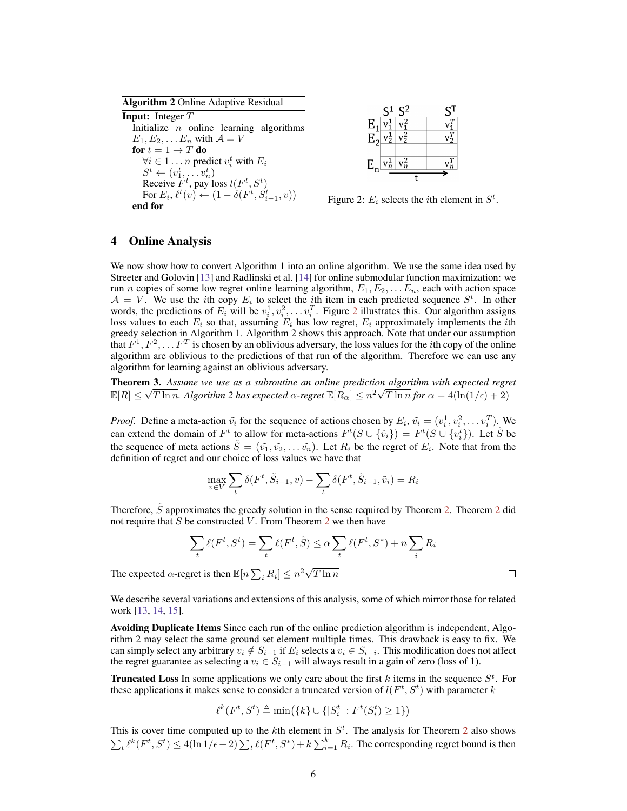Algorithm 2 Online Adaptive Residual Input: Integer T Initialize  $n$  online learning algorithms  $E_1, E_2, \ldots E_n$  with  $\mathcal{A} = V$ for  $t = 1 \rightarrow T$  do  $\forall i \in 1 \dots n$  predict  $v_i^t$  with  $E_i$  $S^t \leftarrow (v_1^t, \ldots v_n^t)$ Receive  $\overline{F}^t$ , pay loss  $l(F^t, S^t)$ For  $E_i$ ,  $\ell^t(v) \leftarrow (1 - \delta(F^t, S_{i-1}^t, v))$ For  $E_i$ ,  $\ell^*(v) \leftarrow (1 - o(F^*, S_{i-1}^*, v))$  Figure 2:  $E_i$  selects the *i*th element in  $S^t$ .



<span id="page-5-0"></span>

 $\Box$ 

#### 4 Online Analysis

We now show how to convert Algorithm 1 into an online algorithm. We use the same idea used by Streeter and Golovin [\[13\]](#page-8-12) and Radlinski et al. [\[14\]](#page-8-13) for online submodular function maximization: we run *n* copies of some low regret online learning algorithm,  $E_1, E_2, \ldots E_n$ , each with action space  $A = V$ . We use the *i*th copy  $E_i$  to select the *i*th item in each predicted sequence  $S^t$ . In other words, the predictions of  $E_i$  will be  $v_i^1, v_i^2, \ldots, v_i^T$  $v_i^1, v_i^2, \ldots, v_i^T$  $v_i^1, v_i^2, \ldots, v_i^T$ . Figure 2 illustrates this. Our algorithm assigns loss values to each  $E_i$  so that, assuming  $E_i$  has low regret,  $E_i$  approximately implements the *i*th greedy selection in Algorithm 1. Algorithm 2 shows this approach. Note that under our assumption that  $\vec{F}^1, F^2, \ldots F^T$  is chosen by an oblivious adversary, the loss values for the *i*th copy of the online algorithm are oblivious to the predictions of that run of the algorithm. Therefore we can use any algorithm for learning against an oblivious adversary.

<span id="page-5-1"></span>**Theorem 3.** Assume we use as a subroutine an online prediction algorithm with expected regret  $\mathbb{E}[R] \leq \sqrt{T \ln n}.$  Algorithm 2 has expected  $\alpha$ -regret  $\mathbb{E}[R_\alpha] \leq n^2 \sqrt{T \ln n}$  for  $\alpha = 4(\ln(1/\epsilon)+2)$ 

*Proof.* Define a meta-action  $\tilde{v}_i$  for the sequence of actions chosen by  $E_i$ ,  $\tilde{v}_i = (v_i^1, v_i^2, \dots v_i^T)$ . We can extend the domain of  $F^t$  to allow for meta-actions  $F^t(S \cup \{\hat{v}_i\}) = F^t(S \cup \{v_i^t\})$ . Let  $\tilde{S}$  be the sequence of meta actions  $\tilde{S} = (\tilde{v_1}, \tilde{v_2}, \dots, \tilde{v_n})$ . Let  $R_i$  be the regret of  $E_i$ . Note that from the definition of regret and our choice of loss values we have that

$$
\max_{v \in V} \sum_{t} \delta(F^t, \tilde{S}_{i-1}, v) - \sum_{t} \delta(F^t, \tilde{S}_{i-1}, \tilde{v}_i) = R_i
$$

Therefore, S approximates the greedy solution in the sense required by Theorem [2.](#page-4-2) Theorem [2](#page-4-2) did not require that S be constructed V. From Theorem [2](#page-4-2) we then have

$$
\sum_{t} \ell(F^t, S^t) = \sum_{t} \ell(F^t, \tilde{S}) \le \alpha \sum_{t} \ell(F^t, S^*) + n \sum_{i} R_i
$$

The expected  $\alpha$ -regret is then  $\mathbb{E}[n \sum_i R_i] \leq n^2 \sqrt{n}$  $T \ln n$ 

We describe several variations and extensions of this analysis, some of which mirror those for related work [\[13,](#page-8-12) [14,](#page-8-13) [15\]](#page-8-14).

Avoiding Duplicate Items Since each run of the online prediction algorithm is independent, Algorithm 2 may select the same ground set element multiple times. This drawback is easy to fix. We can simply select any arbitrary  $v_i \notin S_{i-1}$  if  $E_i$  selects a  $v_i \in S_{i-i}$ . This modification does not affect the regret guarantee as selecting a  $v_i \in S_{i-1}$  will always result in a gain of zero (loss of 1).

**Truncated Loss** In some applications we only care about the first k items in the sequence  $S^t$ . For these applications it makes sense to consider a truncated version of  $l(F^t, S^t)$  with parameter k

$$
\ell^k(F^t, S^t) \triangleq \min\left(\{k\} \cup \{|S_i^t| : F^t(S_i^t) \ge 1\}\right)
$$

This is cover time computed up to the kth element in  $S<sup>t</sup>$ . The analysis for Theorem [2](#page-4-2) also shows  $\sum_t \ell^k(F^t, S^t) \leq 4(\ln 1/\epsilon + 2) \sum_t \ell(F^t, S^*) + k \sum_{i=1}^k R_i$ . The corresponding regret bound is then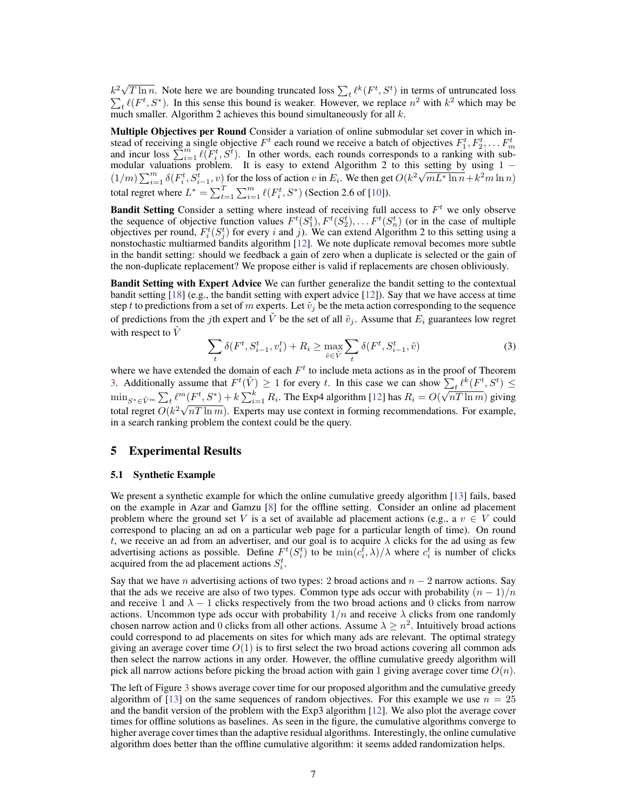$k^2\sqrt{ }$  $\overline{T \ln n}$ . Note here we are bounding truncated loss  $\sum_t \ell^k(F^t, S^t)$  $\sum$ ) in terms of untruncated loss  $_t \ell(F^t, S^*)$ . In this sense this bound is weaker. However, we replace  $n^2$  with  $k^2$  which may be much smaller. Algorithm 2 achieves this bound simultaneously for all  $k$ .

Multiple Objectives per Round Consider a variation of online submodular set cover in which instead of receiving a single objective  $F^t$  each round we receive a batch of objectives  $F_1^t, F_2^t, \ldots, F_n^t$ stead of receiving a single objective  $F$  each round we receive a batch of objectives  $F_1, F_2, \dots F_m$  and incur loss  $\sum_{i=1}^m \ell(F_i^t, S^t)$ . In other words, each rounds corresponds to a ranking with submodular valuations problem. It is easy to extend Algorithm 2 to this setting by using  $1$ modular valuations problem. It is easy to extend Algorithm 2 to this setting by using 1 –  $(1/m)\sum_{i=1}^{m} \delta(F_i^t, S_{i-1}^t, v)$  for the loss of action v in  $E_i$ . We then get  $O(k^2\sqrt{mL^* \ln n} + k^2m \ln n)$ total regret where  $L^* = \sum_{t=1}^T \sum_{i=1}^m \ell(F_i^t, S^*)$  (Section 2.6 of [\[10\]](#page-8-9)).

**Bandit Setting** Consider a setting where instead of receiving full access to  $F<sup>t</sup>$  we only observe the sequence of objective function values  $F^t(S_1^t), F^t(S_2^t), \ldots, F^t(S_n^t)$  (or in the case of multiple objectives per round,  $F_i^t(S_j^t)$  for every i and j). We can extend Algorithm 2 to this setting using a nonstochastic multiarmed bandits algorithm [\[12\]](#page-8-11). We note duplicate removal becomes more subtle in the bandit setting: should we feedback a gain of zero when a duplicate is selected or the gain of the non-duplicate replacement? We propose either is valid if replacements are chosen obliviously.

Bandit Setting with Expert Advice We can further generalize the bandit setting to the contextual bandit setting [\[18\]](#page-8-17) (e.g., the bandit setting with expert advice [\[12\]](#page-8-11)). Say that we have access at time step t to predictions from a set of m experts. Let  $\tilde{v}_j$  be the meta action corresponding to the sequence of predictions from the jth expert and V be the set of all  $\tilde{v}_j$ . Assume that  $E_i$  guarantees low regret with respect to  $\tilde{V}$ 

$$
\sum_{t} \delta(F^t, S_{i-1}^t, v_i^t) + R_i \ge \max_{\tilde{v} \in \tilde{V}} \sum_{t} \delta(F^t, S_{i-1}^t, \tilde{v})
$$
\n(3)

where we have extended the domain of each  $F<sup>t</sup>$  to include meta actions as in the proof of Theorem [3.](#page-5-1) Additionally assume that  $F^t(\tilde{V}) \ge 1$  for every t. In this case we can show  $\sum_t \ell^k(F^t, S^t) \le$  $\min_{S^* \in \tilde{V}^m} \sum_t \ell^m(F^t, S^*) + k \sum_{i=1}^k R_i$ . The Exp4 algorithm [\[12\]](#page-8-11) has  $R_i = O(k)$ √  $\sum_{i=1}^{m} (F^t, S^*) + k \sum_{i=1}^{k} R_i$ . The Exp4 algorithm [12] has  $R_i = O(\sqrt{nT \ln m})$  giving total regret  $O(k^2\sqrt{nT \ln m})$ . Experts may use context in forming recommendations. For example, in a search ranking problem the context could be the query.

#### 5 Experimental Results

#### 5.1 Synthetic Example

We present a synthetic example for which the online cumulative greedy algorithm [\[13\]](#page-8-12) fails, based on the example in Azar and Gamzu [\[8\]](#page-8-7) for the offline setting. Consider an online ad placement problem where the ground set V is a set of available ad placement actions (e.g., a  $v \in V$  could correspond to placing an ad on a particular web page for a particular length of time). On round t, we receive an ad from an advertiser, and our goal is to acquire  $\lambda$  clicks for the ad using as few advertising actions as possible. Define  $F^t(S_i^t)$  to be  $\min(c_i^t, \lambda)/\lambda$  where  $c_i^t$  is number of clicks acquired from the ad placement actions  $S_i^t$ .

Say that we have n advertising actions of two types: 2 broad actions and  $n-2$  narrow actions. Say that the ads we receive are also of two types. Common type ads occur with probability  $(n - 1)/n$ and receive 1 and  $\lambda - 1$  clicks respectively from the two broad actions and 0 clicks from narrow actions. Uncommon type ads occur with probability  $1/n$  and receive  $\lambda$  clicks from one randomly chosen narrow action and 0 clicks from all other actions. Assume  $\lambda \geq n^2$ . Intuitively broad actions could correspond to ad placements on sites for which many ads are relevant. The optimal strategy giving an average cover time  $O(1)$  is to first select the two broad actions covering all common ads then select the narrow actions in any order. However, the offline cumulative greedy algorithm will pick all narrow actions before picking the broad action with gain 1 giving average cover time  $O(n)$ .

The left of Figure [3](#page-7-0) shows average cover time for our proposed algorithm and the cumulative greedy algorithm of [\[13\]](#page-8-12) on the same sequences of random objectives. For this example we use  $n = 25$ and the bandit version of the problem with the Exp3 algorithm [\[12\]](#page-8-11). We also plot the average cover times for offline solutions as baselines. As seen in the figure, the cumulative algorithms converge to higher average cover times than the adaptive residual algorithms. Interestingly, the online cumulative algorithm does better than the offline cumulative algorithm: it seems added randomization helps.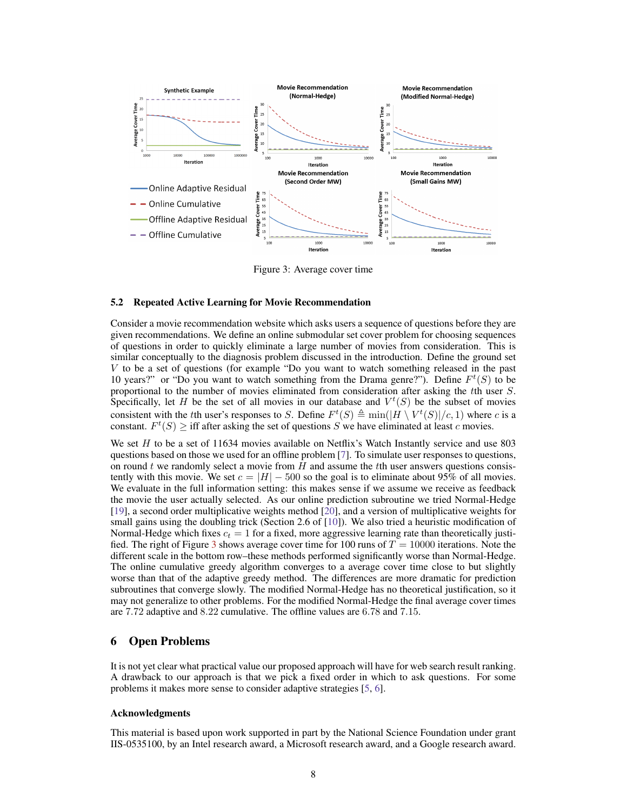

<span id="page-7-0"></span>Figure 3: Average cover time

#### 5.2 Repeated Active Learning for Movie Recommendation

Consider a movie recommendation website which asks users a sequence of questions before they are given recommendations. We define an online submodular set cover problem for choosing sequences of questions in order to quickly eliminate a large number of movies from consideration. This is similar conceptually to the diagnosis problem discussed in the introduction. Define the ground set V to be a set of questions (for example "Do you want to watch something released in the past 10 years?" or "Do you want to watch something from the Drama genre?"). Define  $F<sup>t</sup>(S)$  to be proportional to the number of movies eliminated from consideration after asking the tth user S. Specifically, let H be the set of all movies in our database and  $V^t(S)$  be the subset of movies consistent with the tth user's responses to S. Define  $F^t(S) \triangleq \min(|H \setminus V^t(S)|/c, 1)$  where c is a constant.  $F^t(S) \geq \text{iff}$  after asking the set of questions S we have eliminated at least c movies.

We set  $H$  to be a set of 11634 movies available on Netflix's Watch Instantly service and use 803 questions based on those we used for an offline problem [\[7\]](#page-8-6). To simulate user responses to questions, on round  $t$  we randomly select a movie from  $H$  and assume the  $t$ th user answers questions consistently with this movie. We set  $c = |H| - 500$  so the goal is to eliminate about 95% of all movies. We evaluate in the full information setting: this makes sense if we assume we receive as feedback the movie the user actually selected. As our online prediction subroutine we tried Normal-Hedge [\[19\]](#page-8-18), a second order multiplicative weights method [\[20\]](#page-8-19), and a version of multiplicative weights for small gains using the doubling trick (Section 2.6 of [\[10\]](#page-8-9)). We also tried a heuristic modification of Normal-Hedge which fixes  $c_t = 1$  for a fixed, more aggressive learning rate than theoretically justi-fied. The right of Figure [3](#page-7-0) shows average cover time for 100 runs of  $T = 10000$  iterations. Note the different scale in the bottom row–these methods performed significantly worse than Normal-Hedge. The online cumulative greedy algorithm converges to a average cover time close to but slightly worse than that of the adaptive greedy method. The differences are more dramatic for prediction subroutines that converge slowly. The modified Normal-Hedge has no theoretical justification, so it may not generalize to other problems. For the modified Normal-Hedge the final average cover times are 7.72 adaptive and 8.22 cumulative. The offline values are 6.78 and 7.15.

## 6 Open Problems

It is not yet clear what practical value our proposed approach will have for web search result ranking. A drawback to our approach is that we pick a fixed order in which to ask questions. For some problems it makes more sense to consider adaptive strategies [\[5,](#page-8-4) [6\]](#page-8-5).

#### Acknowledgments

This material is based upon work supported in part by the National Science Foundation under grant IIS-0535100, by an Intel research award, a Microsoft research award, and a Google research award.